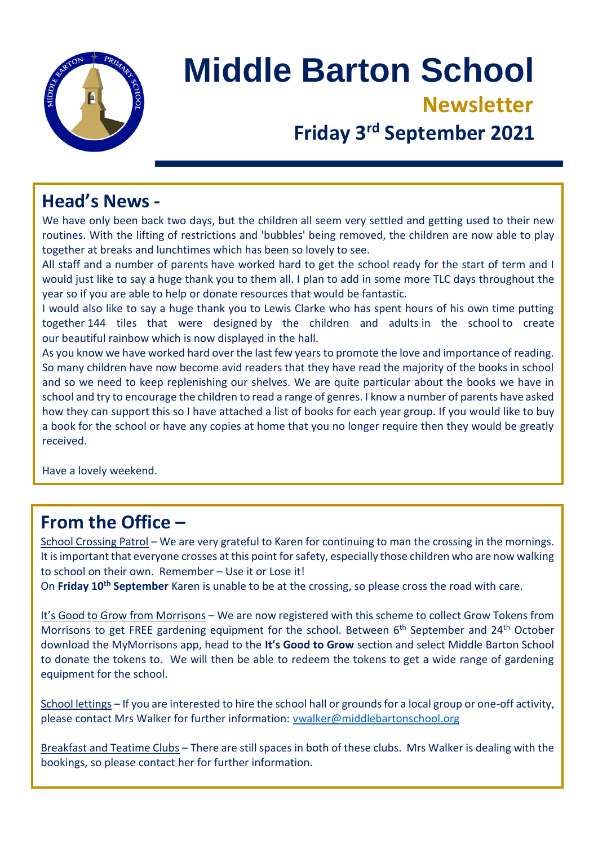

# **Middle Barton School Newsletter**

# **Friday 3<sup>rd</sup> September 2021**

#### **Head's News -**

We have only been back two days, but the children all seem very settled and getting used to their new routines. With the lifting of restrictions and 'bubbles' being removed, the children are now able to play together at breaks and lunchtimes which has been so lovely to see.

All staff and a number of parents have worked hard to get the school ready for the start of term and I would just like to say a huge thank you to them all. I plan to add in some more TLC days throughout the year so if you are able to help or donate resources that would be fantastic.

I would also like to say a huge thank you to Lewis Clarke who has spent hours of his own time putting together 144 tiles that were designed by the children and adults in the school to create our beautiful rainbow which is now displayed in the hall.

As you know we have worked hard over the last few years to promote the love and importance of reading. So many children have now become avid readers that they have read the majority of the books in school and so we need to keep replenishing our shelves. We are quite particular about the books we have in school and try to encourage the children to read a range of genres. I know a number of parents have asked how they can support this so I have attached a list of books for each year group. If you would like to buy a book for the school or have any copies at home that you no longer require then they would be greatly received.

Have a lovely weekend.

### **From the Office –**

School Crossing Patrol – We are very grateful to Karen for continuing to man the crossing in the mornings. It is important that everyone crosses at this point for safety, especially those children who are now walking to school on their own. Remember – Use it or Lose it!

On **Friday 10th September** Karen is unable to be at the crossing, so please cross the road with care.

It's Good to Grow from Morrisons – We are now registered with this scheme to collect Grow Tokens from Morrisons to get FREE gardening equipment for the school. Between 6<sup>th</sup> September and 24<sup>th</sup> October download the MyMorrisons app, head to the **It's Good to Grow** section and select Middle Barton School to donate the tokens to. We will then be able to redeem the tokens to get a wide range of gardening equipment for the school.

School lettings – If you are interested to hire the school hall or grounds for a local group or one-off activity, please contact Mrs Walker for further information: [vwalker@middlebartonschool.org](mailto:vwalker@middlebartonschool.org)

Breakfast and Teatime Clubs – There are still spaces in both of these clubs. Mrs Walker is dealing with the bookings, so please contact her for further information.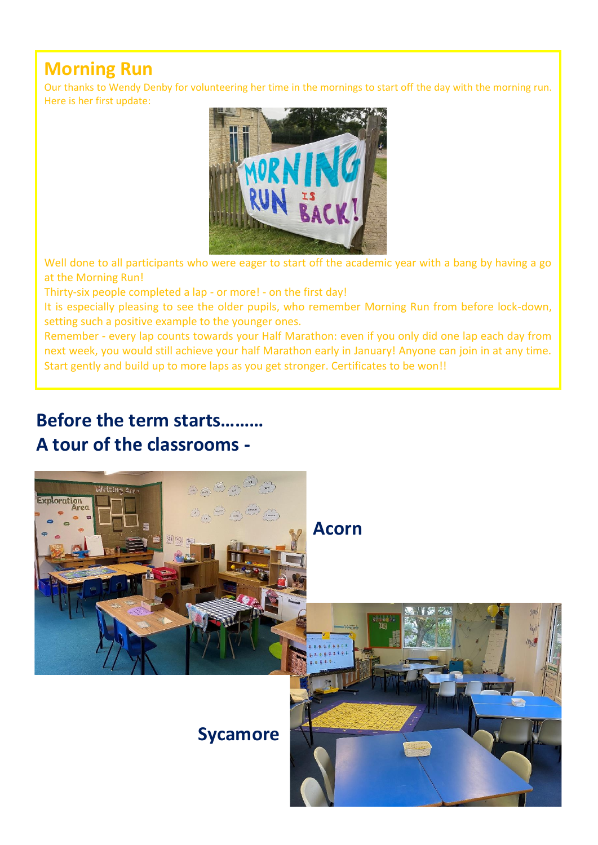### **Morning Run**

Our thanks to Wendy Denby for volunteering her time in the mornings to start off the day with the morning run. Here is her first update:



Well done to all participants who were eager to start off the academic year with a bang by having a go at the Morning Run!

Thirty-six people completed a lap - or more! - on the first day!

It is especially pleasing to see the older pupils, who remember Morning Run from before lock-down, setting such a positive example to the younger ones.

Remember - every lap counts towards your Half Marathon: even if you only did one lap each day from next week, you would still achieve your half Marathon early in January! Anyone can join in at any time. Start gently and build up to more laps as you get stronger. Certificates to be won!!

#### **Before the term starts……… A tour of the classrooms -**